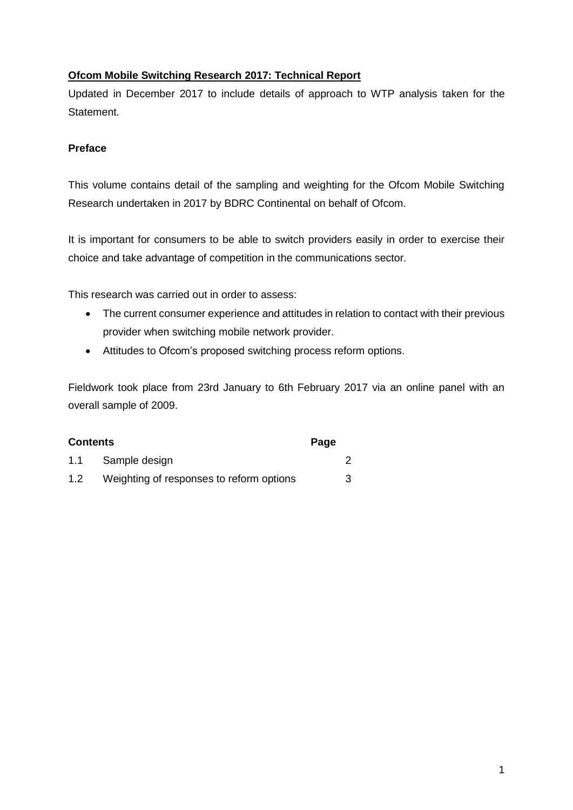### **Ofcom Mobile Switching Research 2017: Technical Report**

Updated in December 2017 to include details of approach to WTP analysis taken for the Statement.

#### **Preface**

This volume contains detail of the sampling and weighting for the Ofcom Mobile Switching Research undertaken in 2017 by BDRC Continental on behalf of Ofcom.

It is important for consumers to be able to switch providers easily in order to exercise their choice and take advantage of competition in the communications sector.

This research was carried out in order to assess:

- The current consumer experience and attitudes in relation to contact with their previous provider when switching mobile network provider.
- Attitudes to Ofcom's proposed switching process reform options.

Fieldwork took place from 23rd January to 6th February 2017 via an online panel with an overall sample of 2009.

| <b>Contents</b> |                                          |  |   |
|-----------------|------------------------------------------|--|---|
| 1.1             | Sample design                            |  |   |
| 1.2             | Weighting of responses to reform options |  | 3 |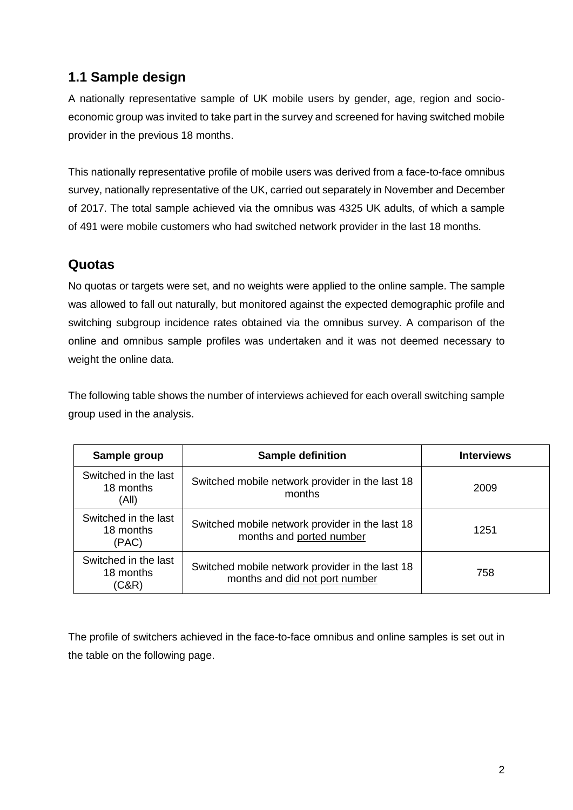# **1.1 Sample design**

A nationally representative sample of UK mobile users by gender, age, region and socioeconomic group was invited to take part in the survey and screened for having switched mobile provider in the previous 18 months.

This nationally representative profile of mobile users was derived from a face-to-face omnibus survey, nationally representative of the UK, carried out separately in November and December of 2017. The total sample achieved via the omnibus was 4325 UK adults, of which a sample of 491 were mobile customers who had switched network provider in the last 18 months.

# **Quotas**

No quotas or targets were set, and no weights were applied to the online sample. The sample was allowed to fall out naturally, but monitored against the expected demographic profile and switching subgroup incidence rates obtained via the omnibus survey. A comparison of the online and omnibus sample profiles was undertaken and it was not deemed necessary to weight the online data.

The following table shows the number of interviews achieved for each overall switching sample group used in the analysis.

| Sample group                               | <b>Sample definition</b>                                                          | <b>Interviews</b> |
|--------------------------------------------|-----------------------------------------------------------------------------------|-------------------|
| Switched in the last<br>18 months<br>(All) | Switched mobile network provider in the last 18<br>months                         | 2009              |
| Switched in the last<br>18 months<br>(PAC) | Switched mobile network provider in the last 18<br>months and ported number       | 1251              |
| Switched in the last<br>18 months<br>(C&R) | Switched mobile network provider in the last 18<br>months and did not port number | 758               |

The profile of switchers achieved in the face-to-face omnibus and online samples is set out in the table on the following page.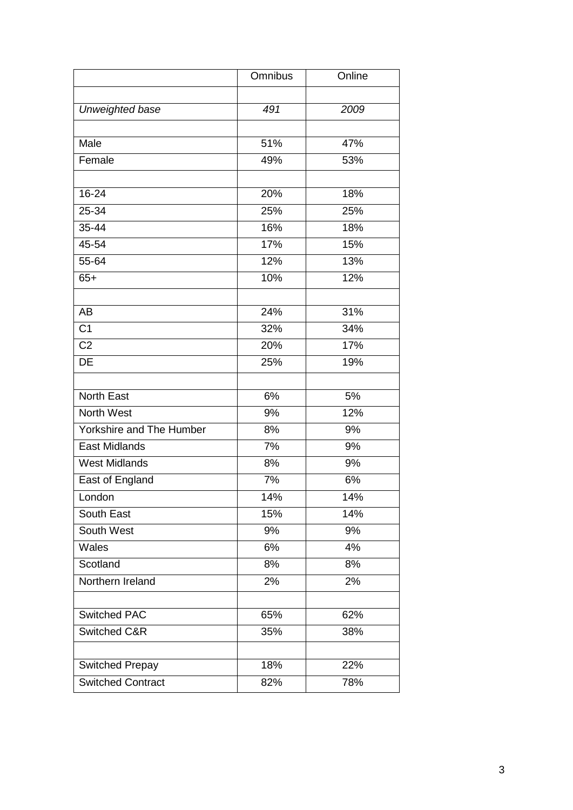|                          | Omnibus | Online |
|--------------------------|---------|--------|
|                          |         |        |
| Unweighted base          | 491     | 2009   |
|                          |         |        |
| Male                     | 51%     | 47%    |
| Female                   | 49%     | 53%    |
|                          |         |        |
| 16-24                    | 20%     | 18%    |
| 25-34                    | 25%     | 25%    |
| 35-44                    | 16%     | 18%    |
| 45-54                    | 17%     | 15%    |
| 55-64                    | 12%     | 13%    |
| $65+$                    | 10%     | 12%    |
|                          |         |        |
| <b>AB</b>                | 24%     | 31%    |
| C <sub>1</sub>           | 32%     | 34%    |
| C <sub>2</sub>           | 20%     | 17%    |
| DE                       | 25%     | 19%    |
|                          |         |        |
| <b>North East</b>        | 6%      | 5%     |
| North West               | 9%      | 12%    |
| Yorkshire and The Humber | 8%      | 9%     |
| <b>East Midlands</b>     | 7%      | 9%     |
| <b>West Midlands</b>     | 8%      | 9%     |
| East of England          | 7%      | 6%     |
| London                   | 14%     | 14%    |
| South East               | 15%     | 14%    |
| South West               | 9%      | 9%     |
| Wales                    | 6%      | 4%     |
| Scotland                 | 8%      | 8%     |
| Northern Ireland         | 2%      | 2%     |
|                          |         |        |
| <b>Switched PAC</b>      | 65%     | 62%    |
| Switched C&R             | 35%     | 38%    |
|                          |         |        |
| Switched Prepay          | 18%     | 22%    |
| <b>Switched Contract</b> | 82%     | 78%    |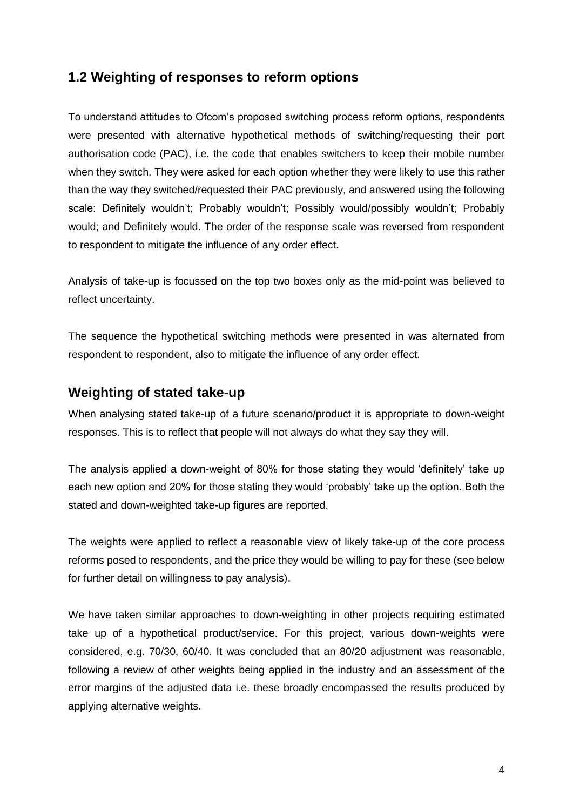### **1.2 Weighting of responses to reform options**

To understand attitudes to Ofcom's proposed switching process reform options, respondents were presented with alternative hypothetical methods of switching/requesting their port authorisation code (PAC), i.e. the code that enables switchers to keep their mobile number when they switch. They were asked for each option whether they were likely to use this rather than the way they switched/requested their PAC previously, and answered using the following scale: Definitely wouldn't; Probably wouldn't; Possibly would/possibly wouldn't; Probably would; and Definitely would. The order of the response scale was reversed from respondent to respondent to mitigate the influence of any order effect.

Analysis of take-up is focussed on the top two boxes only as the mid-point was believed to reflect uncertainty.

The sequence the hypothetical switching methods were presented in was alternated from respondent to respondent, also to mitigate the influence of any order effect.

### **Weighting of stated take-up**

When analysing stated take-up of a future scenario/product it is appropriate to down-weight responses. This is to reflect that people will not always do what they say they will.

The analysis applied a down-weight of 80% for those stating they would 'definitely' take up each new option and 20% for those stating they would 'probably' take up the option. Both the stated and down-weighted take-up figures are reported.

The weights were applied to reflect a reasonable view of likely take-up of the core process reforms posed to respondents, and the price they would be willing to pay for these (see below for further detail on willingness to pay analysis).

We have taken similar approaches to down-weighting in other projects requiring estimated take up of a hypothetical product/service. For this project, various down-weights were considered, e.g. 70/30, 60/40. It was concluded that an 80/20 adjustment was reasonable, following a review of other weights being applied in the industry and an assessment of the error margins of the adjusted data i.e. these broadly encompassed the results produced by applying alternative weights.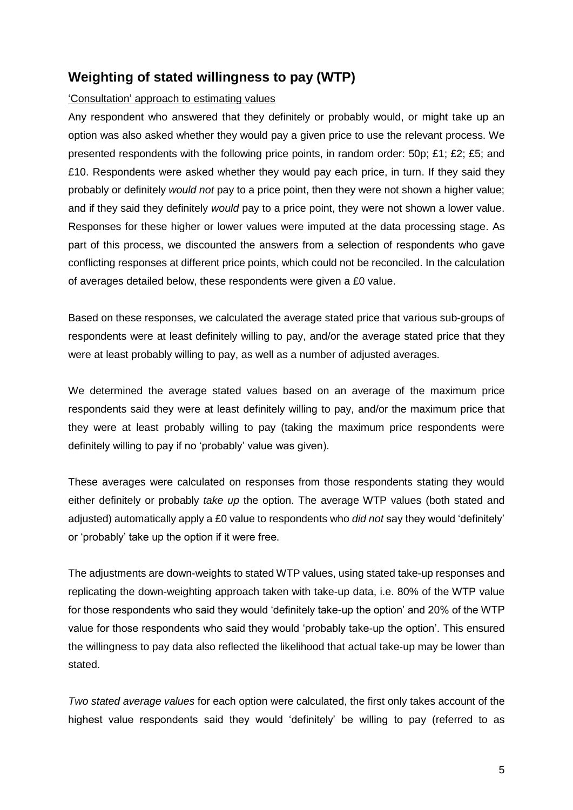## **Weighting of stated willingness to pay (WTP)**

#### 'Consultation' approach to estimating values

Any respondent who answered that they definitely or probably would, or might take up an option was also asked whether they would pay a given price to use the relevant process. We presented respondents with the following price points, in random order: 50p; £1; £2; £5; and £10. Respondents were asked whether they would pay each price, in turn. If they said they probably or definitely *would not* pay to a price point, then they were not shown a higher value; and if they said they definitely *would* pay to a price point, they were not shown a lower value. Responses for these higher or lower values were imputed at the data processing stage. As part of this process, we discounted the answers from a selection of respondents who gave conflicting responses at different price points, which could not be reconciled. In the calculation of averages detailed below, these respondents were given a £0 value.

Based on these responses, we calculated the average stated price that various sub-groups of respondents were at least definitely willing to pay, and/or the average stated price that they were at least probably willing to pay, as well as a number of adjusted averages.

We determined the average stated values based on an average of the maximum price respondents said they were at least definitely willing to pay, and/or the maximum price that they were at least probably willing to pay (taking the maximum price respondents were definitely willing to pay if no 'probably' value was given).

These averages were calculated on responses from those respondents stating they would either definitely or probably *take up* the option. The average WTP values (both stated and adjusted) automatically apply a £0 value to respondents who *did not* say they would 'definitely' or 'probably' take up the option if it were free.

The adjustments are down-weights to stated WTP values, using stated take-up responses and replicating the down-weighting approach taken with take-up data, i.e. 80% of the WTP value for those respondents who said they would 'definitely take-up the option' and 20% of the WTP value for those respondents who said they would 'probably take-up the option'. This ensured the willingness to pay data also reflected the likelihood that actual take-up may be lower than stated.

*Two stated average values* for each option were calculated, the first only takes account of the highest value respondents said they would 'definitely' be willing to pay (referred to as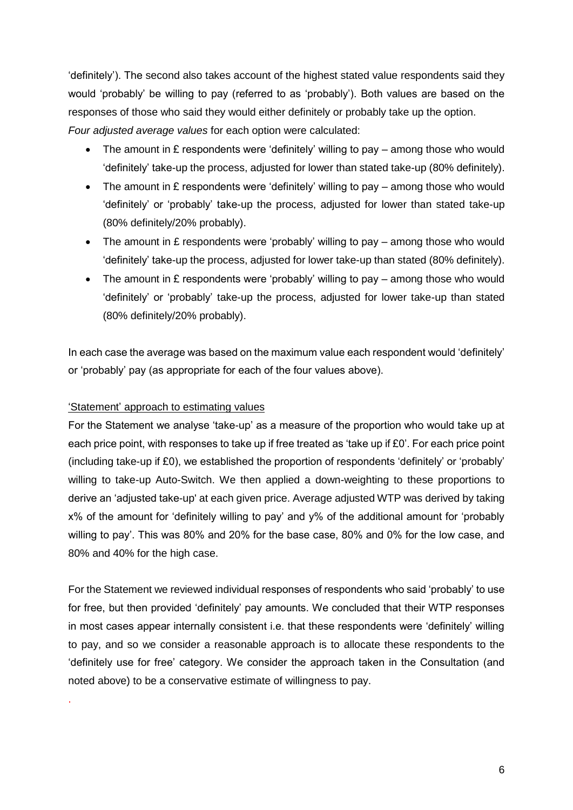'definitely'). The second also takes account of the highest stated value respondents said they would 'probably' be willing to pay (referred to as 'probably'). Both values are based on the responses of those who said they would either definitely or probably take up the option. *Four adjusted average values* for each option were calculated:

- The amount in £ respondents were 'definitely' willing to pay among those who would 'definitely' take-up the process, adjusted for lower than stated take-up (80% definitely).
- The amount in £ respondents were 'definitely' willing to pay among those who would 'definitely' or 'probably' take-up the process, adjusted for lower than stated take-up (80% definitely/20% probably).
- The amount in £ respondents were 'probably' willing to pay among those who would 'definitely' take-up the process, adjusted for lower take-up than stated (80% definitely).
- The amount in £ respondents were 'probably' willing to pay among those who would 'definitely' or 'probably' take-up the process, adjusted for lower take-up than stated (80% definitely/20% probably).

In each case the average was based on the maximum value each respondent would 'definitely' or 'probably' pay (as appropriate for each of the four values above).

#### 'Statement' approach to estimating values

.

For the Statement we analyse 'take-up' as a measure of the proportion who would take up at each price point, with responses to take up if free treated as 'take up if £0'. For each price point (including take-up if £0), we established the proportion of respondents 'definitely' or 'probably' willing to take-up Auto-Switch. We then applied a down-weighting to these proportions to derive an 'adjusted take-up' at each given price. Average adjusted WTP was derived by taking x% of the amount for 'definitely willing to pay' and y% of the additional amount for 'probably willing to pay'. This was 80% and 20% for the base case, 80% and 0% for the low case, and 80% and 40% for the high case.

For the Statement we reviewed individual responses of respondents who said 'probably' to use for free, but then provided 'definitely' pay amounts. We concluded that their WTP responses in most cases appear internally consistent i.e. that these respondents were 'definitely' willing to pay, and so we consider a reasonable approach is to allocate these respondents to the 'definitely use for free' category. We consider the approach taken in the Consultation (and noted above) to be a conservative estimate of willingness to pay.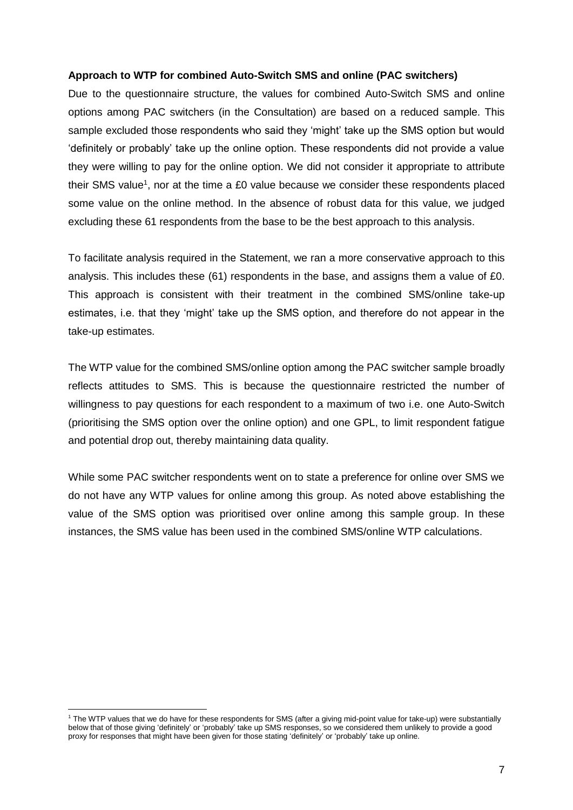#### **Approach to WTP for combined Auto-Switch SMS and online (PAC switchers)**

Due to the questionnaire structure, the values for combined Auto-Switch SMS and online options among PAC switchers (in the Consultation) are based on a reduced sample. This sample excluded those respondents who said they 'might' take up the SMS option but would 'definitely or probably' take up the online option. These respondents did not provide a value they were willing to pay for the online option. We did not consider it appropriate to attribute their SMS value<sup>1</sup>, nor at the time a £0 value because we consider these respondents placed some value on the online method. In the absence of robust data for this value, we judged excluding these 61 respondents from the base to be the best approach to this analysis.

To facilitate analysis required in the Statement, we ran a more conservative approach to this analysis. This includes these (61) respondents in the base, and assigns them a value of £0. This approach is consistent with their treatment in the combined SMS/online take-up estimates, i.e. that they 'might' take up the SMS option, and therefore do not appear in the take-up estimates.

The WTP value for the combined SMS/online option among the PAC switcher sample broadly reflects attitudes to SMS. This is because the questionnaire restricted the number of willingness to pay questions for each respondent to a maximum of two i.e. one Auto-Switch (prioritising the SMS option over the online option) and one GPL, to limit respondent fatigue and potential drop out, thereby maintaining data quality.

While some PAC switcher respondents went on to state a preference for online over SMS we do not have any WTP values for online among this group. As noted above establishing the value of the SMS option was prioritised over online among this sample group. In these instances, the SMS value has been used in the combined SMS/online WTP calculations.

<sup>&</sup>lt;sup>1</sup> The WTP values that we do have for these respondents for SMS (after a giving mid-point value for take-up) were substantially below that of those giving 'definitely' or 'probably' take up SMS responses, so we considered them unlikely to provide a good proxy for responses that might have been given for those stating 'definitely' or 'probably' take up online.